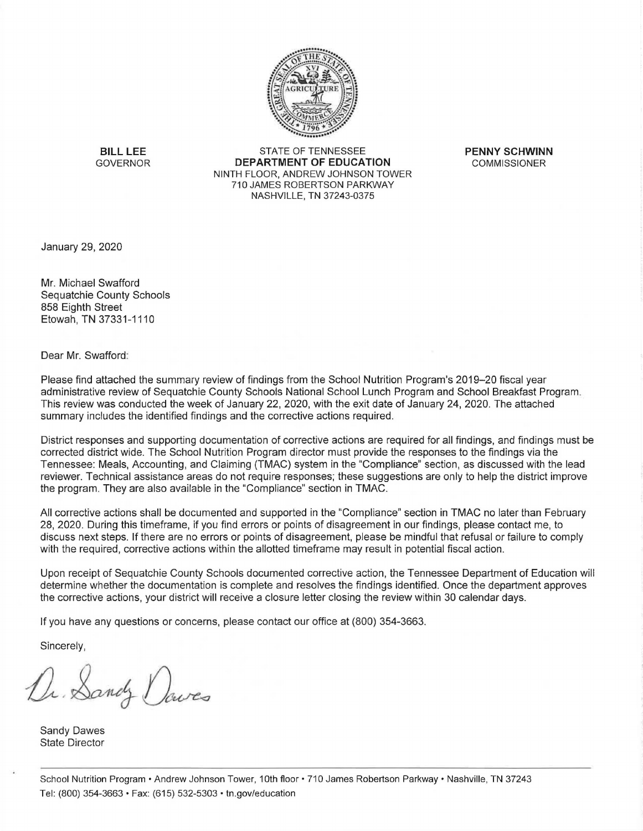

**BILL LEE** STATE OF TENNESSEE **PENNY SCHWINN**<br>GOVERNOR **DEPARTMENT OF EDUCATION** COMMISSIONER **DEPARTMENT OF EDUCATION** NINTH FLOOR, ANDREW JOHNSON TOWER 710 JAMES ROBERTSON PARKWAY NASHVILLE, TN 37243-0375

January 29, 2020

Mr. Michael Swafford Sequatchie County Schools 858 Eighth Street Etowah, TN 37331-1110

Dear Mr. Swafford:

Please find attached the summary review of findings from the School Nutrition Program's 2019-20 fiscal year administrative review of Sequatchie County Schools National School Lunch Program and School Breakfast Program . This review was conducted the week of January 22, 2020, with the exit date of January 24, 2020. The attached summary includes the identified findings and the corrective actions required.

District responses and supporting documentation of corrective actions are required for all findings, and findings must be corrected district wide. The School Nutrition Program director must provide the responses to the findings via the Tennessee: Meals, Accounting, and Claiming (TMAC) system in the "Compliance" section, as discussed with the lead reviewer. Technical assistance areas do not require responses; these suggestions are only to help the district improve the program. They are also available in the "Compliance" section in TMAC.

All corrective actions shall be documented and supported in the "Compliance" section in TMAC no later than February 28, 2020. During this timeframe, if you find errors or points of disagreement in our findings, please contact me, to discuss next steps. If there are no errors or points of disagreement, please be mindful that refusal or failure to comply with the required, corrective actions within the allotted timeframe may result in potential fiscal action.

Upon receipt of Sequatchie County Schools documented corrective action, the Tennessee Department of Education will determine whether the documentation is complete and resolves the findings identified. Once the department approves the corrective actions, your district will receive a closure letter closing the review within 30 calendar days.

If you have any questions or concerns, please contact our office at (800) 354-3663.

Sincerely,

Dr. Sandy Dowes

Sandy Dawes State Director